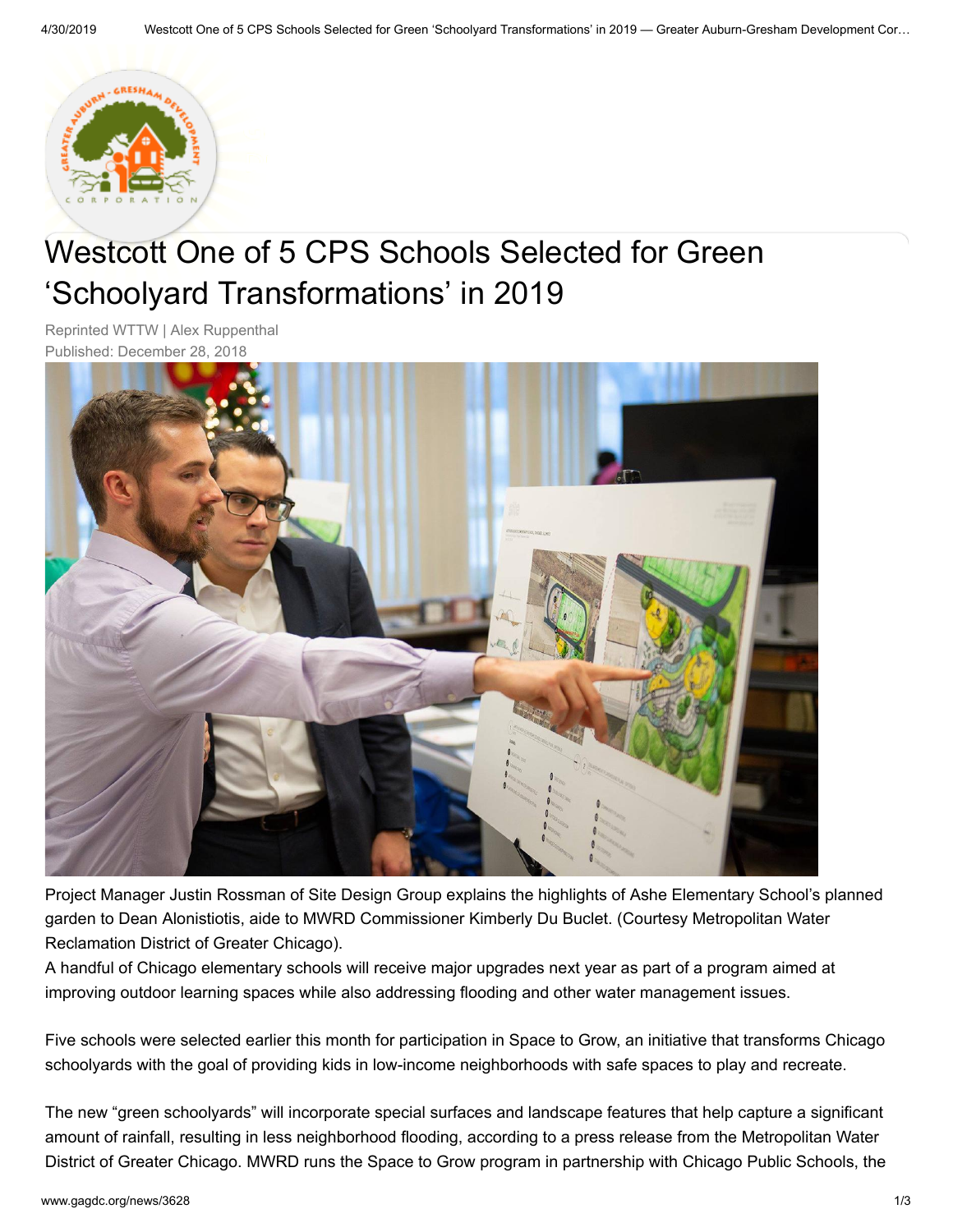

## [Westcott One of 5 CPS Schools Selected](http://www.gagdc.org/index.html) for Green 'Schoolyard Transformations' in 2019

Reprinted WTTW | Alex Ruppenthal Published: December 28, 2018



Project Manager Justin Rossman of Site Design Group explains the highlights of Ashe Elementary School's planned garden to Dean Alonistiotis, aide to MWRD Commissioner Kimberly Du Buclet. (Courtesy Metropolitan Water Reclamation District of Greater Chicago).

A handful of Chicago elementary schools will receive major upgrades next year as part of a program aimed at improving outdoor learning spaces while also addressing flooding and other water management issues.

Five schools were selected earlier this month for participation in Space to Grow, an initiative that transforms Chicago schoolyards with the goal of providing kids in low-income neighborhoods with safe spaces to play and recreate.

The new "green schoolyards" will incorporate special surfaces and landscape features that help capture a significant amount of rainfall, resulting in less neighborhood flooding, according to a press release from the Metropolitan Water District of Greater Chicago. MWRD runs the Space to Grow program in partnership with Chicago Public Schools, the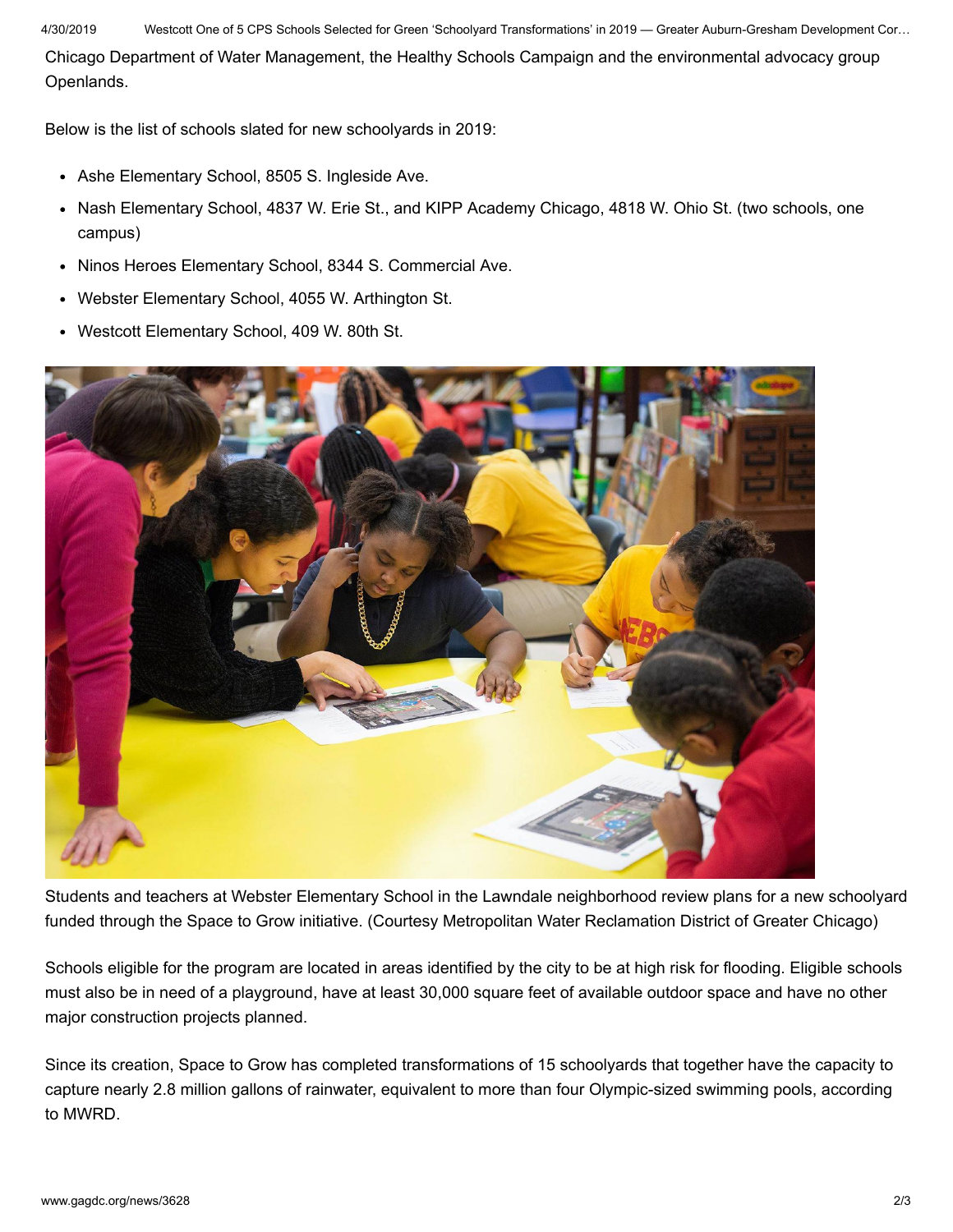Chicago Department of Water Management, the Healthy Schools Campaign and the environmental advocacy group Openlands.

Below is the list of schools slated for new schoolyards in 2019:

- Ashe Elementary School, 8505 S. Ingleside Ave.
- Nash Elementary School, 4837 W. Erie St., and KIPP Academy Chicago, 4818 W. Ohio St. (two schools, one campus)
- Ninos Heroes Elementary School, 8344 S. Commercial Ave.
- Webster Elementary School, 4055 W. Arthington St.
- Westcott Elementary School, 409 W. 80th St.



Students and teachers at Webster Elementary School in the Lawndale neighborhood review plans for a new schoolyard funded through the Space to Grow initiative. (Courtesy Metropolitan Water Reclamation District of Greater Chicago)

Schools eligible for the program are located in areas identified by the city to be at high risk for flooding. Eligible schools must also be in need of a playground, have at least 30,000 square feet of available outdoor space and have no other major construction projects planned.

Since its creation, Space to Grow has completed transformations of 15 schoolyards that together have the capacity to capture nearly 2.8 million gallons of rainwater, equivalent to more than four Olympic-sized swimming pools, according to MWRD.